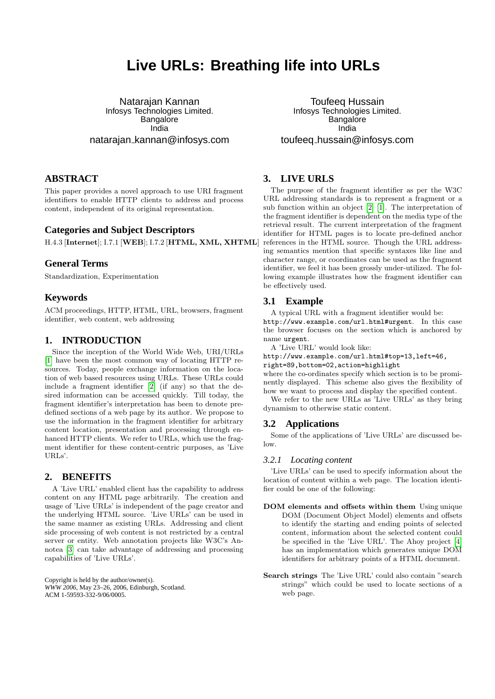# **Live URLs: Breathing life into URLs**

Natarajan Kannan Infosys Technologies Limited. Bangalore India natarajan kannan@infosys.com

# **ABSTRACT**

This paper provides a novel approach to use URI fragment identifiers to enable HTTP clients to address and process content, independent of its original representation.

## **Categories and Subject Descriptors**

H.4.3 [Internet]; I.7.1 [WEB]; I.7.2 [HTML, XML, XHTML]

#### **General Terms**

Standardization, Experimentation

## **Keywords**

ACM proceedings, HTTP, HTML, URL, browsers, fragment identifier, web content, web addressing

# **1. INTRODUCTION**

Since the inception of the World Wide Web, URI/URLs [\[1\]](#page-1-0) have been the most common way of locating HTTP resources. Today, people exchange information on the location of web based resources using URLs. These URLs could include a fragment identifier [\[2\]](#page-1-1) (if any) so that the desired information can be accessed quickly. Till today, the fragment identifier's interpretation has been to denote predefined sections of a web page by its author. We propose to use the information in the fragment identifier for arbitrary content location, presentation and processing through enhanced HTTP clients. We refer to URLs, which use the fragment identifier for these content-centric purposes, as 'Live URLs'.

## **2. BENEFITS**

A 'Live URL' enabled client has the capability to address content on any HTML page arbitrarily. The creation and usage of 'Live URLs' is independent of the page creator and the underlying HTML source. 'Live URLs' can be used in the same manner as existing URLs. Addressing and client side processing of web content is not restricted by a central server or entity. Web annotation projects like W3C's Annotea [\[3\]](#page-1-2) can take advantage of addressing and processing capabilities of 'Live URLs'.

Copyright is held by the author/owner(s). *WWW 2006,* May 23–26, 2006, Edinburgh, Scotland. ACM 1-59593-332-9/06/0005.

Toufeeq Hussain Infosys Technologies Limited. Bangalore India toufeeq hussain@infosys.com

# **3. LIVE URLS**

The purpose of the fragment identifier as per the W3C URL addressing standards is to represent a fragment or a sub function within an object [\[2\]](#page-1-1) [\[1\]](#page-1-0). The interpretation of the fragment identifier is dependent on the media type of the retrieval result. The current interpretation of the fragment identifier for HTML pages is to locate pre-defined anchor references in the HTML source. Though the URL addressing semantics mention that specific syntaxes like line and character range, or coordinates can be used as the fragment identifier, we feel it has been grossly under-utilized. The following example illustrates how the fragment identifier can be effectively used.

### **3.1 Example**

A typical URL with a fragment identifier would be: http://www.example.com/url.html#urgent. In this case the browser focuses on the section which is anchored by name urgent.

A 'Live URL' would look like:

http://www.example.com/url.html#top=13,left=46,

right=89,bottom=02,action=highlight

where the co-ordinates specify which section is to be prominently displayed. This scheme also gives the flexibility of how we want to process and display the specified content.

We refer to the new URLs as 'Live URLs' as they bring dynamism to otherwise static content.

## **3.2 Applications**

Some of the applications of 'Live URLs' are discussed below.

#### *3.2.1 Locating content*

'Live URLs' can be used to specify information about the location of content within a web page. The location identifier could be one of the following:

- DOM elements and offsets within them Using unique DOM (Document Object Model) elements and offsets to identify the starting and ending points of selected content, information about the selected content could be specified in the 'Live URL'. The Ahoy project [\[4\]](#page-1-3) has an implementation which generates unique DOM identifiers for arbitrary points of a HTML document.
- Search strings The 'Live URL' could also contain "search strings" which could be used to locate sections of a web page.